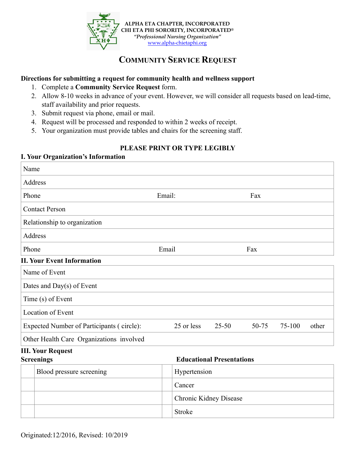

# **COMMUNITY SERVICE REQUEST**

### **Directions for submitting a request for community health and wellness support**

- 1. Complete a **Community Service Request** form.
- 2. Allow 8-10 weeks in advance of your event. However, we will consider all requests based on lead-time, staff availability and prior requests.
- 3. Submit request via phone, email or mail.
- 4. Request will be processed and responded to within 2 weeks of receipt.
- 5. Your organization must provide tables and chairs for the screening staff.

## **PLEASE PRINT OR TYPE LEGIBLY**

#### **I. Your Organization's Information**

| Name                                      |                        |                                  |       |        |       |  |  |
|-------------------------------------------|------------------------|----------------------------------|-------|--------|-------|--|--|
| Address                                   |                        |                                  |       |        |       |  |  |
| Phone                                     | Email:                 |                                  | Fax   |        |       |  |  |
| <b>Contact Person</b>                     |                        |                                  |       |        |       |  |  |
| Relationship to organization              |                        |                                  |       |        |       |  |  |
| <b>Address</b>                            |                        |                                  |       |        |       |  |  |
| Phone                                     | Email                  |                                  | Fax   |        |       |  |  |
| <b>II. Your Event Information</b>         |                        |                                  |       |        |       |  |  |
| Name of Event                             |                        |                                  |       |        |       |  |  |
| Dates and Day(s) of Event                 |                        |                                  |       |        |       |  |  |
| Time (s) of Event                         |                        |                                  |       |        |       |  |  |
| <b>Location of Event</b>                  |                        |                                  |       |        |       |  |  |
| Expected Number of Participants (circle): | 25 or less             | 25-50                            | 50-75 | 75-100 | other |  |  |
| Other Health Care Organizations involved  |                        |                                  |       |        |       |  |  |
| <b>III. Your Request</b>                  |                        |                                  |       |        |       |  |  |
| <b>Screenings</b>                         |                        | <b>Educational Presentations</b> |       |        |       |  |  |
| Blood pressure screening                  |                        | Hypertension                     |       |        |       |  |  |
|                                           | Cancer                 |                                  |       |        |       |  |  |
|                                           | Chronic Kidney Disease |                                  |       |        |       |  |  |
|                                           | Stroke                 |                                  |       |        |       |  |  |